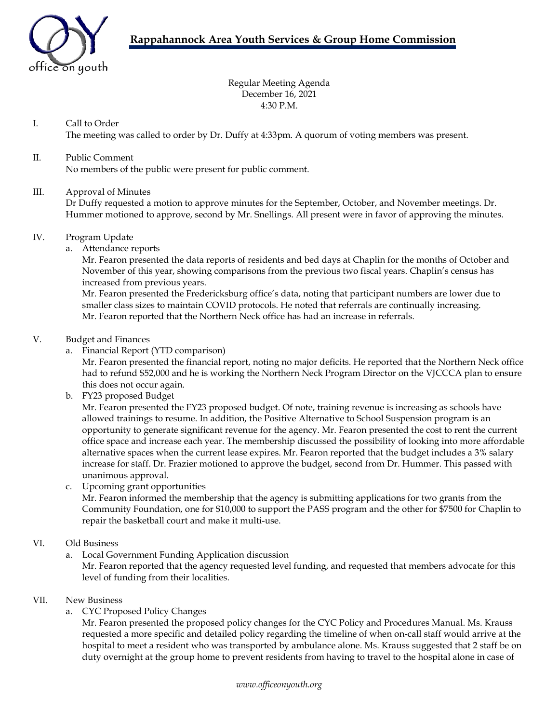

Regular Meeting Agenda December 16, 2021 4:30 P.M.

### I. Call to Order

The meeting was called to order by Dr. Duffy at 4:33pm. A quorum of voting members was present.

## II. Public Comment

No members of the public were present for public comment.

#### III. Approval of Minutes

Dr Duffy requested a motion to approve minutes for the September, October, and November meetings. Dr. Hummer motioned to approve, second by Mr. Snellings. All present were in favor of approving the minutes.

#### IV. Program Update

a. Attendance reports

Mr. Fearon presented the data reports of residents and bed days at Chaplin for the months of October and November of this year, showing comparisons from the previous two fiscal years. Chaplin's census has increased from previous years.

Mr. Fearon presented the Fredericksburg office's data, noting that participant numbers are lower due to smaller class sizes to maintain COVID protocols. He noted that referrals are continually increasing. Mr. Fearon reported that the Northern Neck office has had an increase in referrals.

#### V. Budget and Finances

a. Financial Report (YTD comparison)

Mr. Fearon presented the financial report, noting no major deficits. He reported that the Northern Neck office had to refund \$52,000 and he is working the Northern Neck Program Director on the VJCCCA plan to ensure this does not occur again.

b. FY23 proposed Budget

Mr. Fearon presented the FY23 proposed budget. Of note, training revenue is increasing as schools have allowed trainings to resume. In addition, the Positive Alternative to School Suspension program is an opportunity to generate significant revenue for the agency. Mr. Fearon presented the cost to rent the current office space and increase each year. The membership discussed the possibility of looking into more affordable alternative spaces when the current lease expires. Mr. Fearon reported that the budget includes a 3% salary increase for staff. Dr. Frazier motioned to approve the budget, second from Dr. Hummer. This passed with unanimous approval.

c. Upcoming grant opportunities

Mr. Fearon informed the membership that the agency is submitting applications for two grants from the Community Foundation, one for \$10,000 to support the PASS program and the other for \$7500 for Chaplin to repair the basketball court and make it multi-use.

#### VI. Old Business

a. Local Government Funding Application discussion

Mr. Fearon reported that the agency requested level funding, and requested that members advocate for this level of funding from their localities.

#### VII. New Business

a. CYC Proposed Policy Changes

Mr. Fearon presented the proposed policy changes for the CYC Policy and Procedures Manual. Ms. Krauss requested a more specific and detailed policy regarding the timeline of when on-call staff would arrive at the hospital to meet a resident who was transported by ambulance alone. Ms. Krauss suggested that 2 staff be on duty overnight at the group home to prevent residents from having to travel to the hospital alone in case of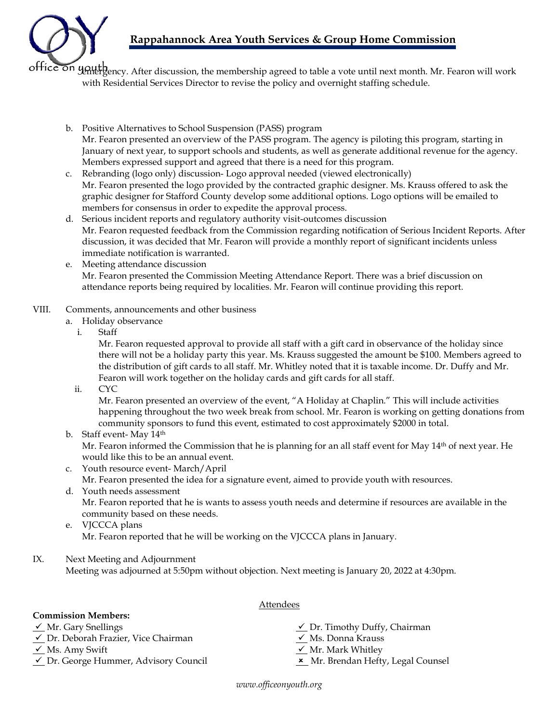# **Rappahannock Area Youth Services & Group Home Commission**



office on youth ency. After discussion, the membership agreed to table a vote until next month. Mr. Fearon will work with Residential Services Director to revise the policy and overnight staffing schedule.

- b. Positive Alternatives to School Suspension (PASS) program Mr. Fearon presented an overview of the PASS program. The agency is piloting this program, starting in January of next year, to support schools and students, as well as generate additional revenue for the agency. Members expressed support and agreed that there is a need for this program.
- c. Rebranding (logo only) discussion- Logo approval needed (viewed electronically) Mr. Fearon presented the logo provided by the contracted graphic designer. Ms. Krauss offered to ask the graphic designer for Stafford County develop some additional options. Logo options will be emailed to members for consensus in order to expedite the approval process.
- d. Serious incident reports and regulatory authority visit-outcomes discussion Mr. Fearon requested feedback from the Commission regarding notification of Serious Incident Reports. After discussion, it was decided that Mr. Fearon will provide a monthly report of significant incidents unless immediate notification is warranted.
- e. Meeting attendance discussion Mr. Fearon presented the Commission Meeting Attendance Report. There was a brief discussion on attendance reports being required by localities. Mr. Fearon will continue providing this report.
- VIII. Comments, announcements and other business
	- a. Holiday observance
		- i. Staff

Mr. Fearon requested approval to provide all staff with a gift card in observance of the holiday since there will not be a holiday party this year. Ms. Krauss suggested the amount be \$100. Members agreed to the distribution of gift cards to all staff. Mr. Whitley noted that it is taxable income. Dr. Duffy and Mr. Fearon will work together on the holiday cards and gift cards for all staff.

ii. CYC

Mr. Fearon presented an overview of the event, "A Holiday at Chaplin." This will include activities happening throughout the two week break from school. Mr. Fearon is working on getting donations from community sponsors to fund this event, estimated to cost approximately \$2000 in total.

b. Staff event- May 14th

Mr. Fearon informed the Commission that he is planning for an all staff event for May 14<sup>th</sup> of next year. He would like this to be an annual event.

c. Youth resource event- March/April

Mr. Fearon presented the idea for a signature event, aimed to provide youth with resources.

- d. Youth needs assessment Mr. Fearon reported that he is wants to assess youth needs and determine if resources are available in the community based on these needs.
- e. VJCCCA plans Mr. Fearon reported that he will be working on the VJCCCA plans in January.
- IX. Next Meeting and Adjournment Meeting was adjourned at 5:50pm without objection. Next meeting is January 20, 2022 at 4:30pm.

#### **Commission Members:**

- 
- $\checkmark$  Dr. Deborah Frazier, Vice Chairman  $\checkmark$  Ms. Donna Krauss
- 
- $\angle$  Dr. George Hummer, Advisory Council  $\angle$  Mr. Brendan Hefty, Legal Counsel
- $\checkmark$  Mr. Gary Snellings  $\checkmark$  Dr. Timothy Duffy, Chairman
	-
- $\checkmark$  Ms. Amy Swift  $\checkmark$  Mr. Mark Whitley
	-

Attendees